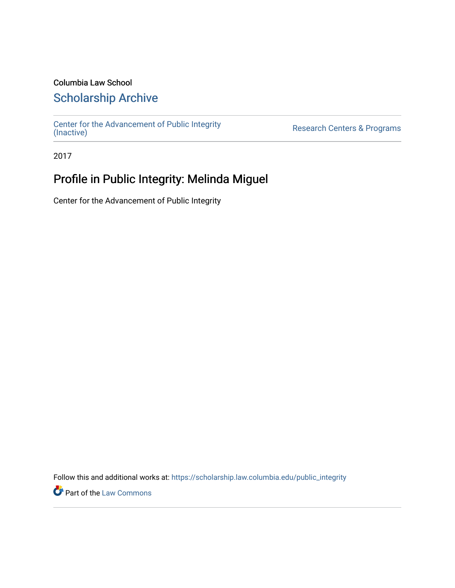### Columbia Law School

### [Scholarship Archive](https://scholarship.law.columbia.edu/)

[Center for the Advancement of Public Integrity](https://scholarship.law.columbia.edu/public_integrity)<br>(Inactive)

Research Centers & Programs

2017

## Profile in Public Integrity: Melinda Miguel

Center for the Advancement of Public Integrity

Follow this and additional works at: [https://scholarship.law.columbia.edu/public\\_integrity](https://scholarship.law.columbia.edu/public_integrity?utm_source=scholarship.law.columbia.edu%2Fpublic_integrity%2F61&utm_medium=PDF&utm_campaign=PDFCoverPages)

**Part of the [Law Commons](http://network.bepress.com/hgg/discipline/578?utm_source=scholarship.law.columbia.edu%2Fpublic_integrity%2F61&utm_medium=PDF&utm_campaign=PDFCoverPages)**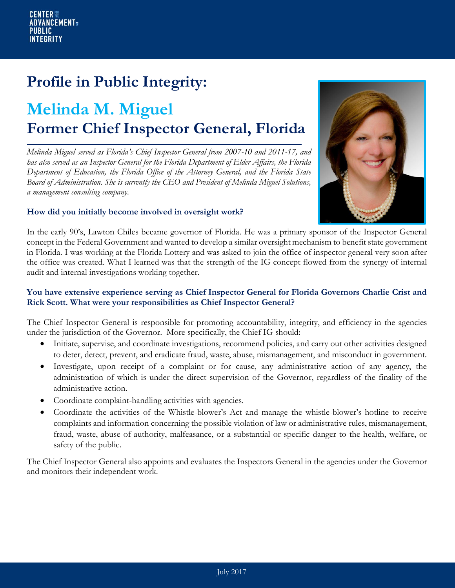## **Profile in Public Integrity:**

# **Melinda M. Miguel Former Chief Inspector General, Florida**

*Melinda Miguel served as Florida's Chief Inspector General from 2007-10 and 2011-17, and has also served as an Inspector General for the Florida Department of Elder Affairs, the Florida Department of Education, the Florida Office of the Attorney General, and the Florida State Board of Administration. She is currently the CEO and President of Melinda Miguel Solutions, a management consulting company.* 

#### **How did you initially become involved in oversight work?**



In the early 90's, Lawton Chiles became governor of Florida. He was a primary sponsor of the Inspector General concept in the Federal Government and wanted to develop a similar oversight mechanism to benefit state government in Florida. I was working at the Florida Lottery and was asked to join the office of inspector general very soon after the office was created. What I learned was that the strength of the IG concept flowed from the synergy of internal audit and internal investigations working together.

#### **You have extensive experience serving as Chief Inspector General for Florida Governors Charlie Crist and Rick Scott. What were your responsibilities as Chief Inspector General?**

The Chief Inspector General is responsible for promoting accountability, integrity, and efficiency in the agencies under the jurisdiction of the Governor. More specifically, the Chief IG should:

- Initiate, supervise, and coordinate investigations, recommend policies, and carry out other activities designed to deter, detect, prevent, and eradicate fraud, waste, abuse, mismanagement, and misconduct in government.
- Investigate, upon receipt of a complaint or for cause, any administrative action of any agency, the administration of which is under the direct supervision of the Governor, regardless of the finality of the administrative action.
- Coordinate complaint-handling activities with agencies.
- Coordinate the activities of the Whistle-blower's Act and manage the whistle-blower's hotline to receive complaints and information concerning the possible violation of law or administrative rules, mismanagement, fraud, waste, abuse of authority, malfeasance, or a substantial or specific danger to the health, welfare, or safety of the public.

The Chief Inspector General also appoints and evaluates the Inspectors General in the agencies under the Governor and monitors their independent work.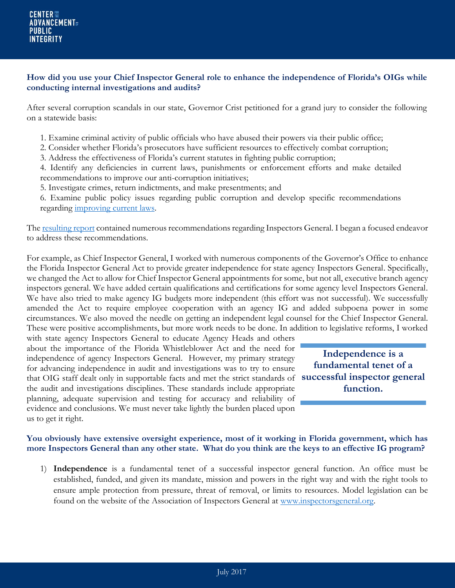#### **How did you use your Chief Inspector General role to enhance the independence of Florida's OIGs while conducting internal investigations and audits?**

After several corruption scandals in our state, Governor Crist petitioned for a grand jury to consider the following on a statewide basis:

- 1. Examine criminal activity of public officials who have abused their powers via their public office;
- 2. Consider whether Florida's prosecutors have sufficient resources to effectively combat corruption;
- 3. Address the effectiveness of Florida's current statutes in fighting public corruption;
- 4. Identify any deficiencies in current laws, punishments or enforcement efforts and make detailed recommendations to improve our anti-corruption initiatives;
- 5. Investigate crimes, return indictments, and make presentments; and
- 6. Examine public policy issues regarding public corruption and develop specific recommendations regarding [improving current laws.](http://myfloridalegal.com/webfiles.nsf/WF/JFAO-8CLT9A/$file/19thSWGJInterimReport.pdf)

The [resulting](http://www.floridaoig.com/library/hb1385/19th_Statewide_Grand_Jury_Report_Evaluation_PowerPoint.pdf) report contained numerous recommendations regarding Inspectors General. I began a focused endeavor to address these recommendations.

For example, as Chief Inspector General, I worked with numerous components of the Governor's Office to enhance the Florida Inspector General Act to provide greater independence for state agency Inspectors General. Specifically, we changed the Act to allow for Chief Inspector General appointments for some, but not all, executive branch agency inspectors general. We have added certain qualifications and certifications for some agency level Inspectors General. We have also tried to make agency IG budgets more independent (this effort was not successful). We successfully amended the Act to require employee cooperation with an agency IG and added subpoena power in some circumstances. We also moved the needle on getting an independent legal counsel for the Chief Inspector General. These were positive accomplishments, but more work needs to be done. In addition to legislative reforms, I worked

with state agency Inspectors General to educate Agency Heads and others about the importance of the Florida Whistleblower Act and the need for independence of agency Inspectors General. However, my primary strategy for advancing independence in audit and investigations was to try to ensure that OIG staff dealt only in supportable facts and met the strict standards of **successful inspector general**  the audit and investigations disciplines. These standards include appropriate planning, adequate supervision and testing for accuracy and reliability of evidence and conclusions. We must never take lightly the burden placed upon us to get it right.

**Independence is a fundamental tenet of a function.**

#### **You obviously have extensive oversight experience, most of it working in Florida government, which has more Inspectors General than any other state. What do you think are the keys to an effective IG program?**

1) **Independence** is a fundamental tenet of a successful inspector general function. An office must be established, funded, and given its mandate, mission and powers in the right way and with the right tools to ensure ample protection from pressure, threat of removal, or limits to resources. Model legislation can be found on the website of the Association of Inspectors General at [www.inspectorsgeneral.org.](http://www.inspectorsgeneral.org/)